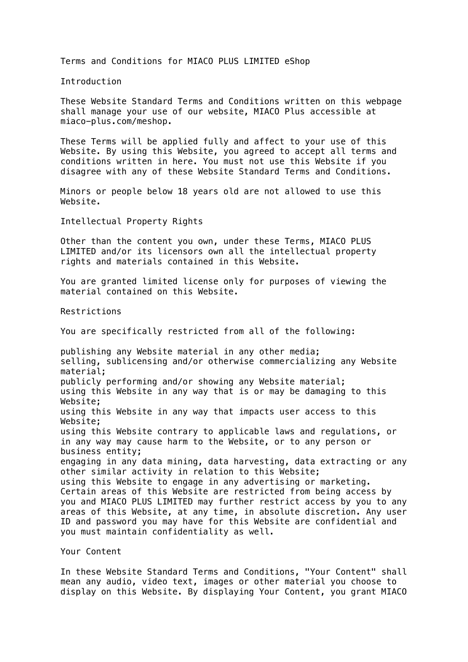Terms and Conditions for MIACO PLUS LIMITED eShop

Introduction

These Website Standard Terms and Conditions written on this webpage shall manage your use of our website, MIACO Plus accessible at miaco-plus.com/meshop.

These Terms will be applied fully and affect to your use of this Website. By using this Website, you agreed to accept all terms and conditions written in here. You must not use this Website if you disagree with any of these Website Standard Terms and Conditions.

Minors or people below 18 years old are not allowed to use this Website.

Intellectual Property Rights

Other than the content you own, under these Terms, MIACO PLUS LIMITED and/or its licensors own all the intellectual property rights and materials contained in this Website.

You are granted limited license only for purposes of viewing the material contained on this Website.

Restrictions

You are specifically restricted from all of the following:

publishing any Website material in any other media; selling, sublicensing and/or otherwise commercializing any Website material; publicly performing and/or showing any Website material; using this Website in any way that is or may be damaging to this Website; using this Website in any way that impacts user access to this Website; using this Website contrary to applicable laws and regulations, or in any way may cause harm to the Website, or to any person or business entity; engaging in any data mining, data harvesting, data extracting or any other similar activity in relation to this Website; using this Website to engage in any advertising or marketing. Certain areas of this Website are restricted from being access by you and MIACO PLUS LIMITED may further restrict access by you to any areas of this Website, at any time, in absolute discretion. Any user ID and password you may have for this Website are confidential and you must maintain confidentiality as well.

Your Content

In these Website Standard Terms and Conditions, "Your Content" shall mean any audio, video text, images or other material you choose to display on this Website. By displaying Your Content, you grant MIACO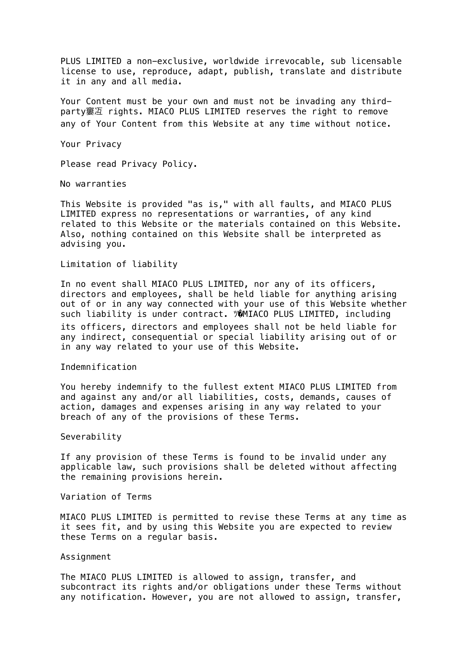PLUS LIMITED a non-exclusive, worldwide irrevocable, sub licensable license to use, reproduce, adapt, publish, translate and distribute it in any and all media.

Your Content must be your own and must not be invading any thirdparty窶冱 rights. MIACO PLUS LIMITED reserves the right to remove any of Your Content from this Website at any time without notice.

Your Privacy

Please read Privacy Policy.

No warranties

This Website is provided "as is," with all faults, and MIACO PLUS LIMITED express no representations or warranties, of any kind related to this Website or the materials contained on this Website. Also, nothing contained on this Website shall be interpreted as advising you.

Limitation of liability

In no event shall MIACO PLUS LIMITED, nor any of its officers, directors and employees, shall be held liable for anything arising out of or in any way connected with your use of this Website whether such liability is under contract. ツ@MIACO PLUS LIMITED, including its officers, directors and employees shall not be held liable for any indirect, consequential or special liability arising out of or in any way related to your use of this Website.

Indemnification

You hereby indemnify to the fullest extent MIACO PLUS LIMITED from and against any and/or all liabilities, costs, demands, causes of action, damages and expenses arising in any way related to your breach of any of the provisions of these Terms.

Severability

If any provision of these Terms is found to be invalid under any applicable law, such provisions shall be deleted without affecting the remaining provisions herein.

Variation of Terms

MIACO PLUS LIMITED is permitted to revise these Terms at any time as it sees fit, and by using this Website you are expected to review these Terms on a regular basis.

## Assignment

The MIACO PLUS LIMITED is allowed to assign, transfer, and subcontract its rights and/or obligations under these Terms without any notification. However, you are not allowed to assign, transfer,